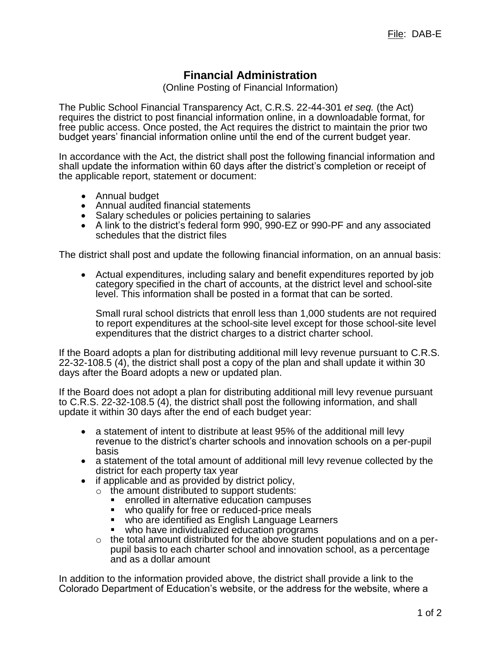## **Financial Administration**

(Online Posting of Financial Information)

The Public School Financial Transparency Act, C.R.S. 22-44-301 *et seq.* (the Act) requires the district to post financial information online, in a downloadable format, for free public access. Once posted, the Act requires the district to maintain the prior two budget years' financial information online until the end of the current budget year.

In accordance with the Act, the district shall post the following financial information and shall update the information within 60 days after the district's completion or receipt of the applicable report, statement or document:

- Annual budget
- Annual audited financial statements
- Salary schedules or policies pertaining to salaries
- A link to the district's federal form 990, 990-EZ or 990-PF and any associated schedules that the district files

The district shall post and update the following financial information, on an annual basis:

 Actual expenditures, including salary and benefit expenditures reported by job category specified in the chart of accounts, at the district level and school-site level. This information shall be posted in a format that can be sorted.

Small rural school districts that enroll less than 1,000 students are not required to report expenditures at the school-site level except for those school-site level expenditures that the district charges to a district charter school.

If the Board adopts a plan for distributing additional mill levy revenue pursuant to C.R.S. 22-32-108.5 (4), the district shall post a copy of the plan and shall update it within 30 days after the Board adopts a new or updated plan.

If the Board does not adopt a plan for distributing additional mill levy revenue pursuant to C.R.S. 22-32-108.5 (4), the district shall post the following information, and shall update it within 30 days after the end of each budget year:

- a statement of intent to distribute at least 95% of the additional mill levy revenue to the district's charter schools and innovation schools on a per-pupil basis
- a statement of the total amount of additional mill levy revenue collected by the district for each property tax year
- if applicable and as provided by district policy,
	- $\circ$  the amount distributed to support students:
		- enrolled in alternative education campuses
		- who qualify for free or reduced-price meals
		- who are identified as English Language Learners
		- who have individualized education programs
	- $\circ$  the total amount distributed for the above student populations and on a perpupil basis to each charter school and innovation school, as a percentage and as a dollar amount

In addition to the information provided above, the district shall provide a link to the Colorado Department of Education's website, or the address for the website, where a